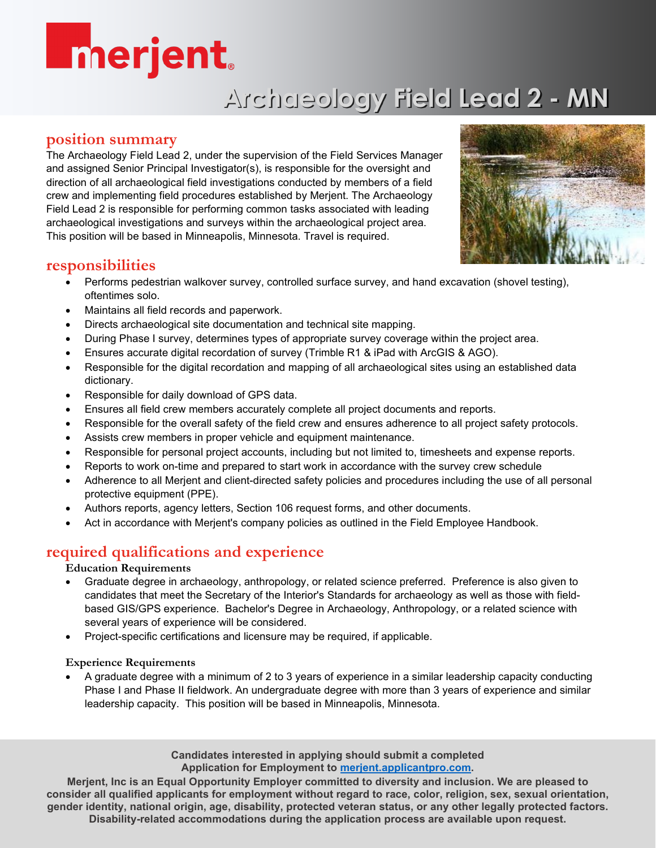# **Enerjent**

# **Archaeology Field Lead 2 - MN**

### **position summary**

The Archaeology Field Lead 2, under the supervision of the Field Services Manager and assigned Senior Principal Investigator(s), is responsible for the oversight and direction of all archaeological field investigations conducted by members of a field crew and implementing field procedures established by Merjent. The Archaeology Field Lead 2 is responsible for performing common tasks associated with leading archaeological investigations and surveys within the archaeological project area. This position will be based in Minneapolis, Minnesota. Travel is required.



### **responsibilities**

- Performs pedestrian walkover survey, controlled surface survey, and hand excavation (shovel testing), oftentimes solo.
- Maintains all field records and paperwork.
- Directs archaeological site documentation and technical site mapping.
- During Phase I survey, determines types of appropriate survey coverage within the project area.
- Ensures accurate digital recordation of survey (Trimble R1 & iPad with ArcGIS & AGO).
- Responsible for the digital recordation and mapping of all archaeological sites using an established data dictionary.
- Responsible for daily download of GPS data.
- Ensures all field crew members accurately complete all project documents and reports.
- Responsible for the overall safety of the field crew and ensures adherence to all project safety protocols.
- Assists crew members in proper vehicle and equipment maintenance.
- Responsible for personal project accounts, including but not limited to, timesheets and expense reports.
- Reports to work on-time and prepared to start work in accordance with the survey crew schedule
- Adherence to all Merjent and client-directed safety policies and procedures including the use of all personal protective equipment (PPE).
- Authors reports, agency letters, Section 106 request forms, and other documents.
- Act in accordance with Merjent's company policies as outlined in the Field Employee Handbook.

# **required qualifications and experience**

#### **Education Requirements**

- Graduate degree in archaeology, anthropology, or related science preferred. Preference is also given to candidates that meet the Secretary of the Interior's Standards for archaeology as well as those with fieldbased GIS/GPS experience. Bachelor's Degree in Archaeology, Anthropology, or a related science with several years of experience will be considered.
- Project-specific certifications and licensure may be required, if applicable.

#### **Experience Requirements**

• A graduate degree with a minimum of 2 to 3 years of experience in a similar leadership capacity conducting Phase I and Phase II fieldwork. An undergraduate degree with more than 3 years of experience and similar leadership capacity. This position will be based in Minneapolis, Minnesota.

> **Candidates interested in applying should submit a completed Application for Employment to [merjent.applicantpro.com.](https://merjent.applicantpro.com/)**

**Merjent, Inc is an Equal Opportunity Employer committed to diversity and inclusion. We are pleased to consider all qualified applicants for employment without regard to race, color, religion, sex, sexual orientation, gender identity, national origin, age, disability, protected veteran status, or any other legally protected factors. Disability-related accommodations during the application process are available upon request.**